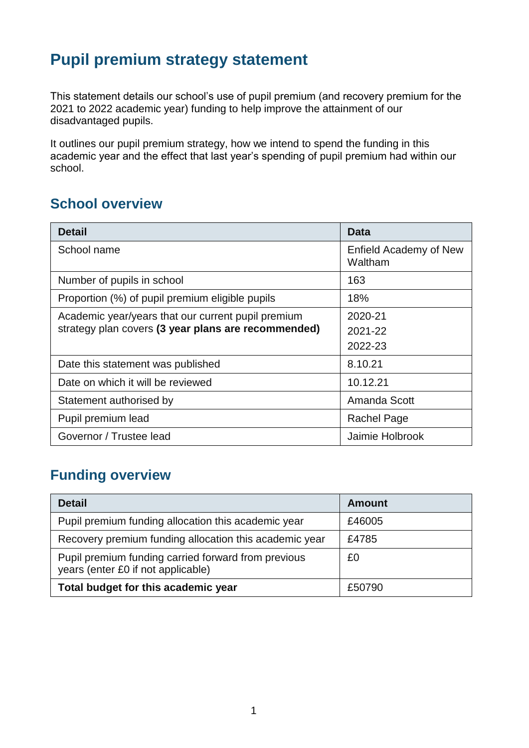# **Pupil premium strategy statement**

This statement details our school's use of pupil premium (and recovery premium for the 2021 to 2022 academic year) funding to help improve the attainment of our disadvantaged pupils.

It outlines our pupil premium strategy, how we intend to spend the funding in this academic year and the effect that last year's spending of pupil premium had within our school.

### **School overview**

| <b>Detail</b>                                       | <b>Data</b>                       |
|-----------------------------------------------------|-----------------------------------|
| School name                                         | Enfield Academy of New<br>Waltham |
| Number of pupils in school                          | 163                               |
| Proportion (%) of pupil premium eligible pupils     | 18%                               |
| Academic year/years that our current pupil premium  | 2020-21                           |
| strategy plan covers (3 year plans are recommended) | 2021-22                           |
|                                                     | 2022-23                           |
| Date this statement was published                   | 8.10.21                           |
| Date on which it will be reviewed                   | 10.12.21                          |
| Statement authorised by                             | Amanda Scott                      |
| Pupil premium lead                                  | Rachel Page                       |
| Governor / Trustee lead                             | Jaimie Holbrook                   |

### **Funding overview**

| <b>Detail</b>                                                                             | <b>Amount</b> |
|-------------------------------------------------------------------------------------------|---------------|
| Pupil premium funding allocation this academic year                                       | £46005        |
| Recovery premium funding allocation this academic year                                    | £4785         |
| Pupil premium funding carried forward from previous<br>years (enter £0 if not applicable) | £0            |
| Total budget for this academic year                                                       | £50790        |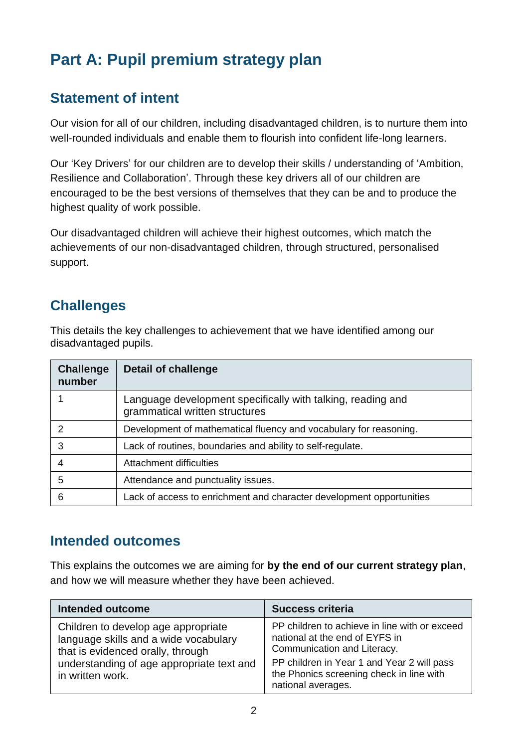# **Part A: Pupil premium strategy plan**

#### **Statement of intent**

Our vision for all of our children, including disadvantaged children, is to nurture them into well-rounded individuals and enable them to flourish into confident life-long learners.

Our 'Key Drivers' for our children are to develop their skills / understanding of 'Ambition, Resilience and Collaboration'. Through these key drivers all of our children are encouraged to be the best versions of themselves that they can be and to produce the highest quality of work possible.

Our disadvantaged children will achieve their highest outcomes, which match the achievements of our non-disadvantaged children, through structured, personalised support.

### **Challenges**

This details the key challenges to achievement that we have identified among our disadvantaged pupils.

| <b>Challenge</b><br>number | <b>Detail of challenge</b>                                                                    |
|----------------------------|-----------------------------------------------------------------------------------------------|
|                            | Language development specifically with talking, reading and<br>grammatical written structures |
| 2                          | Development of mathematical fluency and vocabulary for reasoning.                             |
| 3                          | Lack of routines, boundaries and ability to self-regulate.                                    |
| 4                          | <b>Attachment difficulties</b>                                                                |
| 5                          | Attendance and punctuality issues.                                                            |
| 6                          | Lack of access to enrichment and character development opportunities                          |

#### **Intended outcomes**

This explains the outcomes we are aiming for **by the end of our current strategy plan**, and how we will measure whether they have been achieved.

| <b>Intended outcome</b>                                                                                                                                                            | <b>Success criteria</b>                                                                                                                                                                                                        |
|------------------------------------------------------------------------------------------------------------------------------------------------------------------------------------|--------------------------------------------------------------------------------------------------------------------------------------------------------------------------------------------------------------------------------|
| Children to develop age appropriate<br>language skills and a wide vocabulary<br>that is evidenced orally, through<br>understanding of age appropriate text and<br>in written work. | PP children to achieve in line with or exceed<br>national at the end of EYFS in<br>Communication and Literacy.<br>PP children in Year 1 and Year 2 will pass<br>the Phonics screening check in line with<br>national averages. |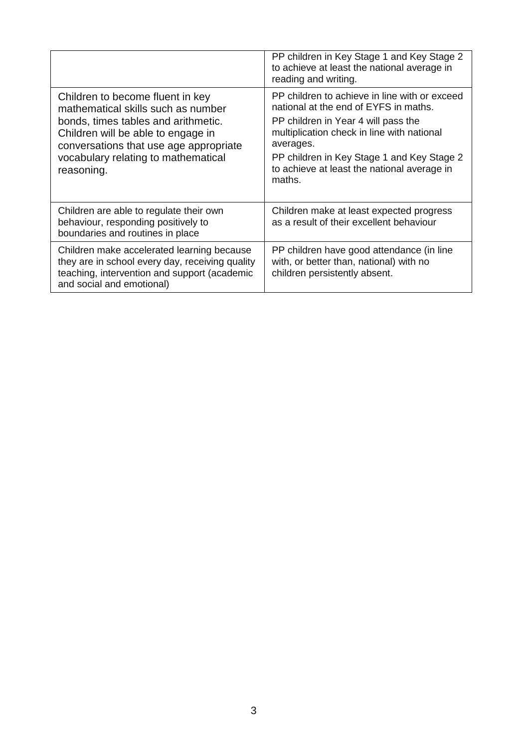|                                                                                                                                                                                                                                                    | PP children in Key Stage 1 and Key Stage 2<br>to achieve at least the national average in<br>reading and writing.                                                                                                                                                                               |
|----------------------------------------------------------------------------------------------------------------------------------------------------------------------------------------------------------------------------------------------------|-------------------------------------------------------------------------------------------------------------------------------------------------------------------------------------------------------------------------------------------------------------------------------------------------|
| Children to become fluent in key<br>mathematical skills such as number<br>bonds, times tables and arithmetic.<br>Children will be able to engage in<br>conversations that use age appropriate<br>vocabulary relating to mathematical<br>reasoning. | PP children to achieve in line with or exceed<br>national at the end of EYFS in maths.<br>PP children in Year 4 will pass the<br>multiplication check in line with national<br>averages.<br>PP children in Key Stage 1 and Key Stage 2<br>to achieve at least the national average in<br>maths. |
| Children are able to regulate their own<br>behaviour, responding positively to<br>boundaries and routines in place                                                                                                                                 | Children make at least expected progress<br>as a result of their excellent behaviour                                                                                                                                                                                                            |
| Children make accelerated learning because<br>they are in school every day, receiving quality<br>teaching, intervention and support (academic<br>and social and emotional)                                                                         | PP children have good attendance (in line<br>with, or better than, national) with no<br>children persistently absent.                                                                                                                                                                           |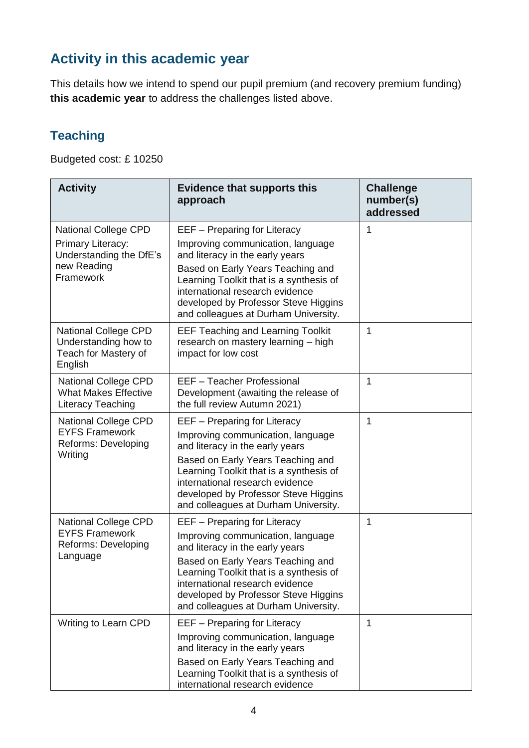# **Activity in this academic year**

This details how we intend to spend our pupil premium (and recovery premium funding) **this academic year** to address the challenges listed above.

### **Teaching**

Budgeted cost: £ 10250

| <b>Activity</b>                                                                                         | <b>Evidence that supports this</b><br>approach                                                                                                                                                                                                                                                          | <b>Challenge</b><br>number(s)<br>addressed |
|---------------------------------------------------------------------------------------------------------|---------------------------------------------------------------------------------------------------------------------------------------------------------------------------------------------------------------------------------------------------------------------------------------------------------|--------------------------------------------|
| <b>National College CPD</b><br>Primary Literacy:<br>Understanding the DfE's<br>new Reading<br>Framework | EEF - Preparing for Literacy<br>Improving communication, language<br>and literacy in the early years<br>Based on Early Years Teaching and<br>Learning Toolkit that is a synthesis of<br>international research evidence<br>developed by Professor Steve Higgins<br>and colleagues at Durham University. | 1                                          |
| <b>National College CPD</b><br>Understanding how to<br>Teach for Mastery of<br>English                  | <b>EEF Teaching and Learning Toolkit</b><br>research on mastery learning - high<br>impact for low cost                                                                                                                                                                                                  | 1                                          |
| <b>National College CPD</b><br><b>What Makes Effective</b><br><b>Literacy Teaching</b>                  | EEF - Teacher Professional<br>Development (awaiting the release of<br>the full review Autumn 2021)                                                                                                                                                                                                      | 1                                          |
| <b>National College CPD</b><br><b>EYFS Framework</b><br>Reforms: Developing<br>Writing                  | EEF - Preparing for Literacy<br>Improving communication, language<br>and literacy in the early years<br>Based on Early Years Teaching and<br>Learning Toolkit that is a synthesis of<br>international research evidence<br>developed by Professor Steve Higgins<br>and colleagues at Durham University. | 1                                          |
| <b>National College CPD</b><br><b>EYFS Framework</b><br>Reforms: Developing<br>Language                 | EEF - Preparing for Literacy<br>Improving communication, language<br>and literacy in the early years<br>Based on Early Years Teaching and<br>Learning Toolkit that is a synthesis of<br>international research evidence<br>developed by Professor Steve Higgins<br>and colleagues at Durham University. | 1                                          |
| <b>Writing to Learn CPD</b>                                                                             | EEF - Preparing for Literacy<br>Improving communication, language<br>and literacy in the early years<br>Based on Early Years Teaching and<br>Learning Toolkit that is a synthesis of<br>international research evidence                                                                                 | 1                                          |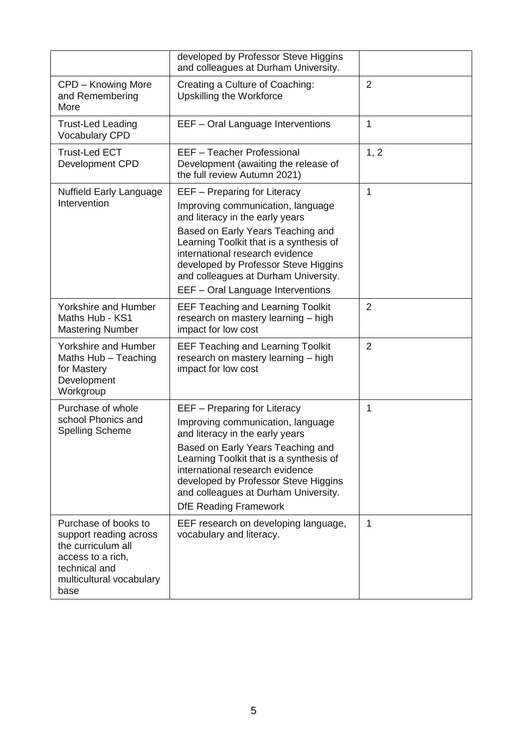|                                                                                                                                                | developed by Professor Steve Higgins<br>and colleagues at Durham University.                                                                                                                                                                                                                                                            |                |
|------------------------------------------------------------------------------------------------------------------------------------------------|-----------------------------------------------------------------------------------------------------------------------------------------------------------------------------------------------------------------------------------------------------------------------------------------------------------------------------------------|----------------|
| CPD - Knowing More<br>and Remembering<br>More                                                                                                  | Creating a Culture of Coaching:<br>Upskilling the Workforce                                                                                                                                                                                                                                                                             | $\overline{2}$ |
| <b>Trust-Led Leading</b><br><b>Vocabulary CPD</b>                                                                                              | EEF - Oral Language Interventions                                                                                                                                                                                                                                                                                                       | 1              |
| <b>Trust-Led ECT</b><br>Development CPD                                                                                                        | EEF - Teacher Professional<br>Development (awaiting the release of<br>the full review Autumn 2021)                                                                                                                                                                                                                                      | 1, 2           |
| <b>Nuffield Early Language</b><br>Intervention                                                                                                 | EEF - Preparing for Literacy<br>Improving communication, language<br>and literacy in the early years                                                                                                                                                                                                                                    | $\mathbf{1}$   |
|                                                                                                                                                | Based on Early Years Teaching and<br>Learning Toolkit that is a synthesis of<br>international research evidence<br>developed by Professor Steve Higgins<br>and colleagues at Durham University.<br>EEF - Oral Language Interventions                                                                                                    |                |
| Yorkshire and Humber<br>Maths Hub - KS1<br><b>Mastering Number</b>                                                                             | <b>EEF Teaching and Learning Toolkit</b><br>research on mastery learning - high<br>impact for low cost                                                                                                                                                                                                                                  | $\overline{2}$ |
| <b>Yorkshire and Humber</b><br>Maths Hub - Teaching<br>for Mastery<br>Development<br>Workgroup                                                 | <b>EEF Teaching and Learning Toolkit</b><br>research on mastery learning - high<br>impact for low cost                                                                                                                                                                                                                                  | $\overline{2}$ |
| Purchase of whole<br>school Phonics and<br><b>Spelling Scheme</b>                                                                              | EEF - Preparing for Literacy<br>Improving communication, language<br>and literacy in the early years<br>Based on Early Years Teaching and<br>Learning Toolkit that is a synthesis of<br>international research evidence<br>developed by Professor Steve Higgins<br>and colleagues at Durham University.<br><b>DfE Reading Framework</b> | 1              |
| Purchase of books to<br>support reading across<br>the curriculum all<br>access to a rich,<br>technical and<br>multicultural vocabulary<br>base | EEF research on developing language,<br>vocabulary and literacy.                                                                                                                                                                                                                                                                        | 1              |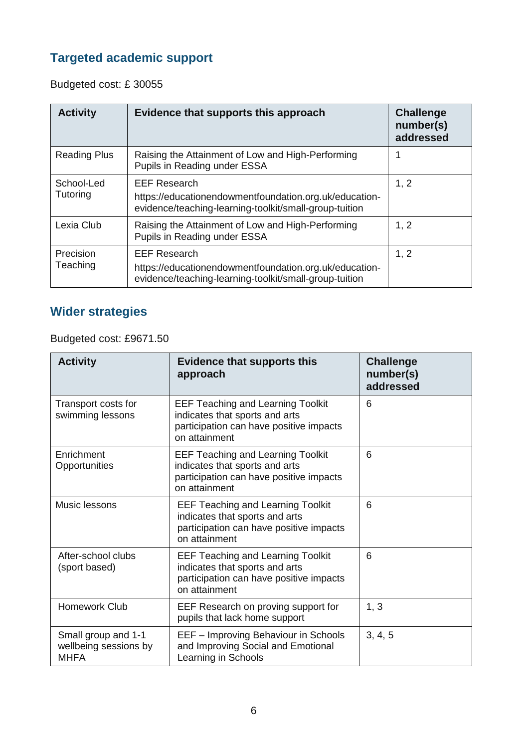### **Targeted academic support**

Budgeted cost: £ 30055

| <b>Activity</b>        | Evidence that supports this approach                                                                                                    | <b>Challenge</b><br>number(s)<br>addressed |
|------------------------|-----------------------------------------------------------------------------------------------------------------------------------------|--------------------------------------------|
| <b>Reading Plus</b>    | Raising the Attainment of Low and High-Performing<br>Pupils in Reading under ESSA                                                       |                                            |
| School-Led<br>Tutoring | <b>EEF Research</b><br>https://educationendowmentfoundation.org.uk/education-<br>evidence/teaching-learning-toolkit/small-group-tuition | 1, 2                                       |
| Lexia Club             | Raising the Attainment of Low and High-Performing<br>Pupils in Reading under ESSA                                                       | 1, 2                                       |
| Precision<br>Teaching  | <b>EEF Research</b><br>https://educationendowmentfoundation.org.uk/education-<br>evidence/teaching-learning-toolkit/small-group-tuition | 1, 2                                       |

### **Wider strategies**

Budgeted cost: £9671.50

| <b>Activity</b>                                             | <b>Evidence that supports this</b><br>approach                                                                                         | <b>Challenge</b><br>number(s)<br>addressed |
|-------------------------------------------------------------|----------------------------------------------------------------------------------------------------------------------------------------|--------------------------------------------|
| Transport costs for<br>swimming lessons                     | <b>EEF Teaching and Learning Toolkit</b><br>indicates that sports and arts<br>participation can have positive impacts<br>on attainment | 6                                          |
| Enrichment<br>Opportunities                                 | <b>EEF Teaching and Learning Toolkit</b><br>indicates that sports and arts<br>participation can have positive impacts<br>on attainment | 6                                          |
| Music lessons                                               | <b>EEF Teaching and Learning Toolkit</b><br>indicates that sports and arts<br>participation can have positive impacts<br>on attainment | 6                                          |
| After-school clubs<br>(sport based)                         | <b>EEF Teaching and Learning Toolkit</b><br>indicates that sports and arts<br>participation can have positive impacts<br>on attainment | 6                                          |
| Homework Club                                               | EEF Research on proving support for<br>pupils that lack home support                                                                   | 1, 3                                       |
| Small group and 1-1<br>wellbeing sessions by<br><b>MHFA</b> | EEF - Improving Behaviour in Schools<br>and Improving Social and Emotional<br>Learning in Schools                                      | 3, 4, 5                                    |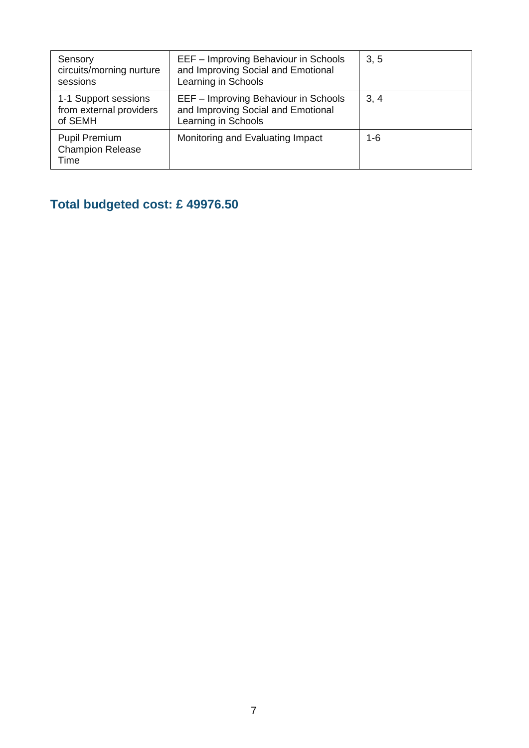| Sensory<br>circuits/morning nurture<br>sessions            | EEF - Improving Behaviour in Schools<br>and Improving Social and Emotional<br>Learning in Schools | 3, 5 |
|------------------------------------------------------------|---------------------------------------------------------------------------------------------------|------|
| 1-1 Support sessions<br>from external providers<br>of SEMH | EEF - Improving Behaviour in Schools<br>and Improving Social and Emotional<br>Learning in Schools | 3, 4 |
| <b>Pupil Premium</b><br><b>Champion Release</b><br>Time    | Monitoring and Evaluating Impact                                                                  | 1-6  |

# **Total budgeted cost: £ 49976.50**